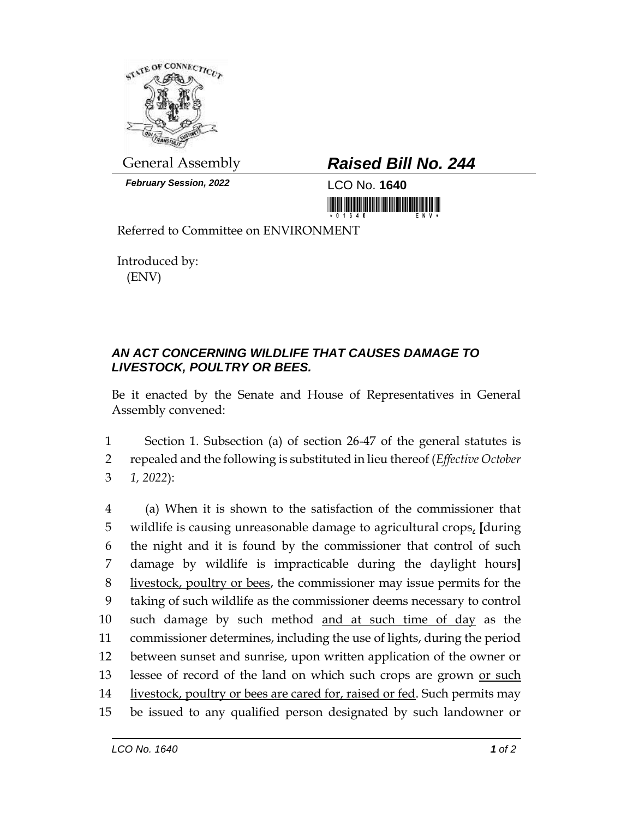

*February Session, 2022* LCO No. **1640**

## General Assembly *Raised Bill No. 244*

<u> 1999 - An Dùbhlachd Marwrig ann an Dùbhaidh ann an Dùbhlachd ann an Dùbhlachd ann an Dùbhlachd ann an Dùbhlach</u>

Referred to Committee on ENVIRONMENT

Introduced by: (ENV)

## *AN ACT CONCERNING WILDLIFE THAT CAUSES DAMAGE TO LIVESTOCK, POULTRY OR BEES.*

Be it enacted by the Senate and House of Representatives in General Assembly convened:

1 Section 1. Subsection (a) of section 26-47 of the general statutes is 2 repealed and the following is substituted in lieu thereof (*Effective October*  3 *1, 2022*):

 (a) When it is shown to the satisfaction of the commissioner that wildlife is causing unreasonable damage to agricultural crops, **[**during the night and it is found by the commissioner that control of such damage by wildlife is impracticable during the daylight hours**]** livestock, poultry or bees, the commissioner may issue permits for the taking of such wildlife as the commissioner deems necessary to control such damage by such method and at such time of day as the commissioner determines, including the use of lights, during the period between sunset and sunrise, upon written application of the owner or 13 lessee of record of the land on which such crops are grown or such 14 livestock, poultry or bees are cared for, raised or fed. Such permits may be issued to any qualified person designated by such landowner or